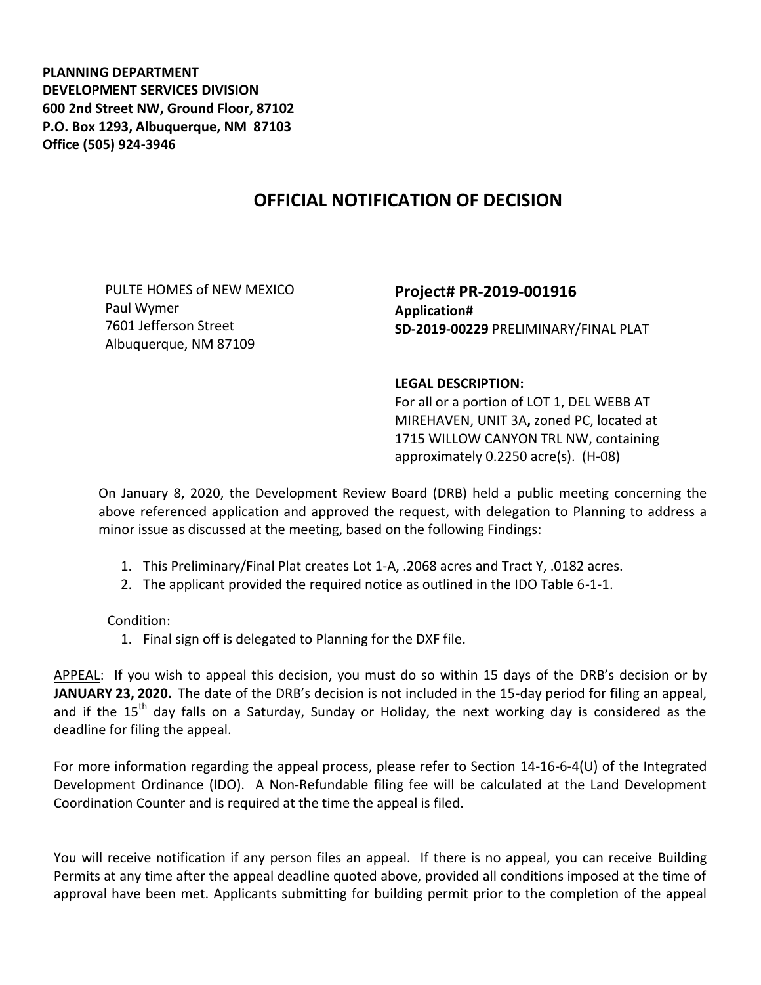**PLANNING DEPARTMENT DEVELOPMENT SERVICES DIVISION 600 2nd Street NW, Ground Floor, 87102 P.O. Box 1293, Albuquerque, NM 87103 Office (505) 924-3946** 

## **OFFICIAL NOTIFICATION OF DECISION**

PULTE HOMES of NEW MEXICO Paul Wymer 7601 Jefferson Street Albuquerque, NM 87109

**Project# PR-2019-001916 Application# SD-2019-00229** PRELIMINARY/FINAL PLAT

## **LEGAL DESCRIPTION:**

For all or a portion of LOT 1, DEL WEBB AT MIREHAVEN, UNIT 3A**,** zoned PC, located at 1715 WILLOW CANYON TRL NW, containing approximately 0.2250 acre(s). (H-08)

On January 8, 2020, the Development Review Board (DRB) held a public meeting concerning the above referenced application and approved the request, with delegation to Planning to address a minor issue as discussed at the meeting, based on the following Findings:

- 1. This Preliminary/Final Plat creates Lot 1-A, .2068 acres and Tract Y, .0182 acres.
- 2. The applicant provided the required notice as outlined in the IDO Table 6-1-1.

Condition:

1. Final sign off is delegated to Planning for the DXF file.

APPEAL: If you wish to appeal this decision, you must do so within 15 days of the DRB's decision or by **JANUARY 23, 2020.** The date of the DRB's decision is not included in the 15-day period for filing an appeal, and if the  $15<sup>th</sup>$  day falls on a Saturday, Sunday or Holiday, the next working day is considered as the deadline for filing the appeal.

For more information regarding the appeal process, please refer to Section 14-16-6-4(U) of the Integrated Development Ordinance (IDO). A Non-Refundable filing fee will be calculated at the Land Development Coordination Counter and is required at the time the appeal is filed.

You will receive notification if any person files an appeal. If there is no appeal, you can receive Building Permits at any time after the appeal deadline quoted above, provided all conditions imposed at the time of approval have been met. Applicants submitting for building permit prior to the completion of the appeal